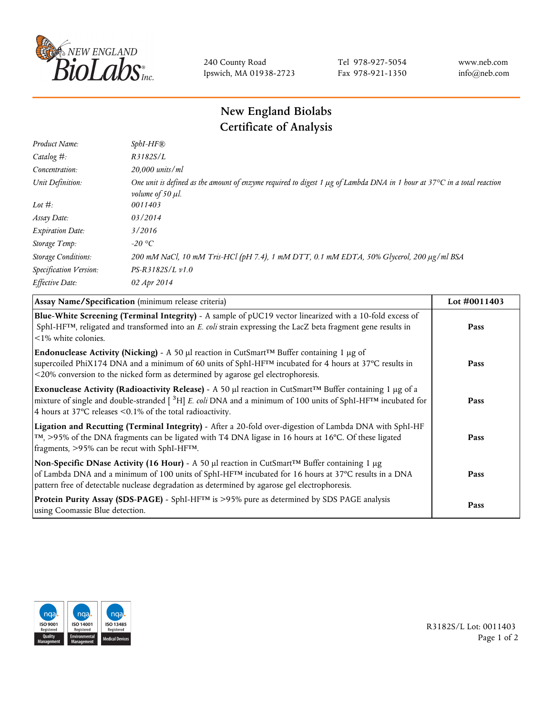

240 County Road Ipswich, MA 01938-2723 Tel 978-927-5054 Fax 978-921-1350 www.neb.com info@neb.com

## **New England Biolabs Certificate of Analysis**

| $SphI-HF$ <sup>®</sup>                                                                                                                                                 |
|------------------------------------------------------------------------------------------------------------------------------------------------------------------------|
| R3182S/L                                                                                                                                                               |
| 20,000 units/ml                                                                                                                                                        |
| One unit is defined as the amount of enzyme required to digest 1 $\mu$ g of Lambda DNA in 1 hour at 37°C in a total reaction<br><i>volume of 50 <math>\mu</math>l.</i> |
| 0011403                                                                                                                                                                |
| 03/2014                                                                                                                                                                |
| 3/2016                                                                                                                                                                 |
| $-20$ °C                                                                                                                                                               |
| 200 mM NaCl, 10 mM Tris-HCl (pH 7.4), 1 mM DTT, 0.1 mM EDTA, 50% Glycerol, 200 µg/ml BSA                                                                               |
| $PS-R3182S/L \nu 1.0$                                                                                                                                                  |
| 02 Apr 2014                                                                                                                                                            |
|                                                                                                                                                                        |

| Assay Name/Specification (minimum release criteria)                                                                                                                                                                                                                                                                                         | Lot #0011403 |
|---------------------------------------------------------------------------------------------------------------------------------------------------------------------------------------------------------------------------------------------------------------------------------------------------------------------------------------------|--------------|
| Blue-White Screening (Terminal Integrity) - A sample of pUC19 vector linearized with a 10-fold excess of<br>SphI-HF <sup>TM</sup> , religated and transformed into an E. coli strain expressing the LacZ beta fragment gene results in<br>$\leq$ 1% white colonies.                                                                         | Pass         |
| Endonuclease Activity (Nicking) - A 50 µl reaction in CutSmart <sup>TM</sup> Buffer containing 1 µg of<br>supercoiled PhiX174 DNA and a minimum of 60 units of SphI-HF™ incubated for 4 hours at 37°C results in<br><20% conversion to the nicked form as determined by agarose gel electrophoresis.                                        | Pass         |
| Exonuclease Activity (Radioactivity Release) - A 50 $\mu$ l reaction in CutSmart <sup>TM</sup> Buffer containing 1 $\mu$ g of a<br>mixture of single and double-stranded $[{}^{3}H]E$ . coli DNA and a minimum of 100 units of SphI-HF <sup>TM</sup> incubated for<br>4 hours at 37 $\degree$ C releases < 0.1% of the total radioactivity. | Pass         |
| Ligation and Recutting (Terminal Integrity) - After a 20-fold over-digestion of Lambda DNA with SphI-HF<br>$\text{TM}$ , >95% of the DNA fragments can be ligated with T4 DNA ligase in 16 hours at 16 °C. Of these ligated<br>fragments, >95% can be recut with SphI-HFTM.                                                                 | Pass         |
| Non-Specific DNase Activity (16 Hour) - A 50 µl reaction in CutSmart™ Buffer containing 1 µg<br>of Lambda DNA and a minimum of 100 units of SphI-HF <sup>TM</sup> incubated for 16 hours at 37°C results in a DNA<br>pattern free of detectable nuclease degradation as determined by agarose gel electrophoresis.                          | Pass         |
| Protein Purity Assay (SDS-PAGE) - SphI-HF™ is >95% pure as determined by SDS PAGE analysis<br>using Coomassie Blue detection.                                                                                                                                                                                                               | Pass         |



R3182S/L Lot: 0011403 Page 1 of 2